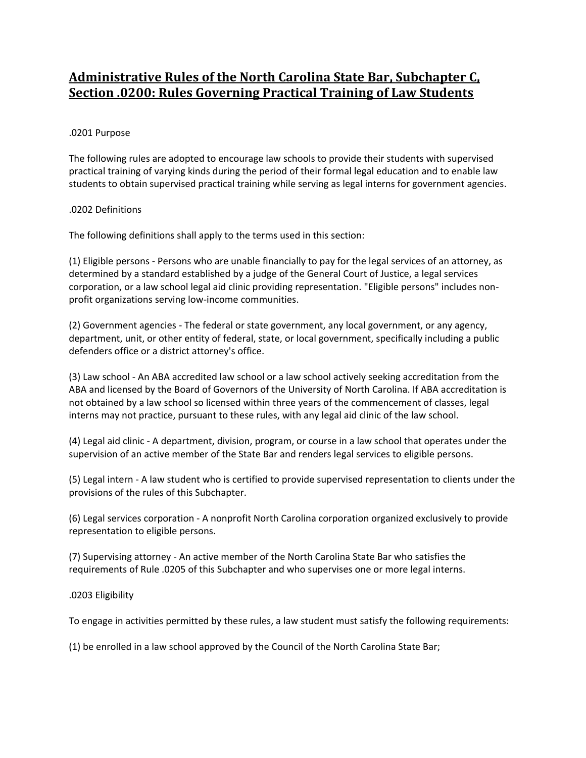# **Administrative Rules of the North Carolina State Bar, Subchapter C, Section .0200: Rules Governing Practical Training of Law Students**

# .0201 Purpose

The following rules are adopted to encourage law schools to provide their students with supervised practical training of varying kinds during the period of their formal legal education and to enable law students to obtain supervised practical training while serving as legal interns for government agencies.

### .0202 Definitions

The following definitions shall apply to the terms used in this section:

(1) Eligible persons - Persons who are unable financially to pay for the legal services of an attorney, as determined by a standard established by a judge of the General Court of Justice, a legal services corporation, or a law school legal aid clinic providing representation. "Eligible persons" includes nonprofit organizations serving low-income communities.

(2) Government agencies - The federal or state government, any local government, or any agency, department, unit, or other entity of federal, state, or local government, specifically including a public defenders office or a district attorney's office.

(3) Law school - An ABA accredited law school or a law school actively seeking accreditation from the ABA and licensed by the Board of Governors of the University of North Carolina. If ABA accreditation is not obtained by a law school so licensed within three years of the commencement of classes, legal interns may not practice, pursuant to these rules, with any legal aid clinic of the law school.

(4) Legal aid clinic - A department, division, program, or course in a law school that operates under the supervision of an active member of the State Bar and renders legal services to eligible persons.

(5) Legal intern - A law student who is certified to provide supervised representation to clients under the provisions of the rules of this Subchapter.

(6) Legal services corporation - A nonprofit North Carolina corporation organized exclusively to provide representation to eligible persons.

(7) Supervising attorney - An active member of the North Carolina State Bar who satisfies the requirements of Rule .0205 of this Subchapter and who supervises one or more legal interns.

#### .0203 Eligibility

To engage in activities permitted by these rules, a law student must satisfy the following requirements:

(1) be enrolled in a law school approved by the Council of the North Carolina State Bar;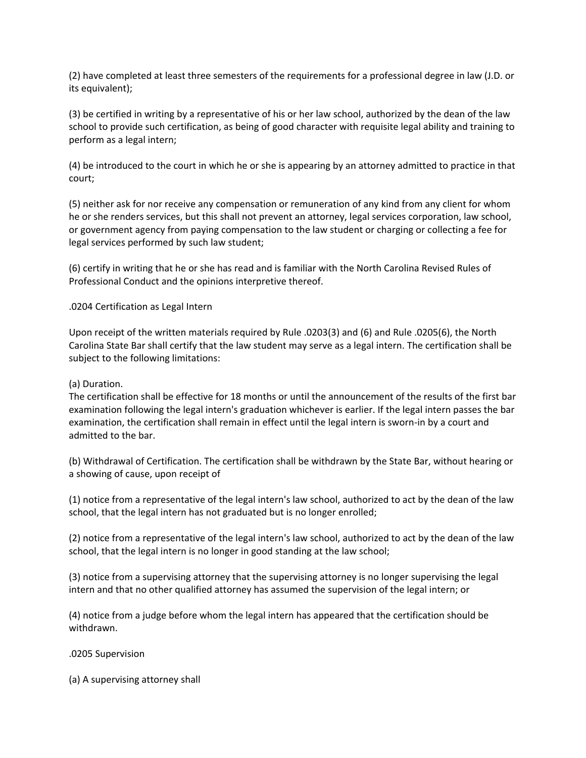(2) have completed at least three semesters of the requirements for a professional degree in law (J.D. or its equivalent);

(3) be certified in writing by a representative of his or her law school, authorized by the dean of the law school to provide such certification, as being of good character with requisite legal ability and training to perform as a legal intern;

(4) be introduced to the court in which he or she is appearing by an attorney admitted to practice in that court;

(5) neither ask for nor receive any compensation or remuneration of any kind from any client for whom he or she renders services, but this shall not prevent an attorney, legal services corporation, law school, or government agency from paying compensation to the law student or charging or collecting a fee for legal services performed by such law student;

(6) certify in writing that he or she has read and is familiar with the North Carolina Revised Rules of Professional Conduct and the opinions interpretive thereof.

.0204 Certification as Legal Intern

Upon receipt of the written materials required by Rule .0203(3) and (6) and Rule .0205(6), the North Carolina State Bar shall certify that the law student may serve as a legal intern. The certification shall be subject to the following limitations:

## (a) Duration.

The certification shall be effective for 18 months or until the announcement of the results of the first bar examination following the legal intern's graduation whichever is earlier. If the legal intern passes the bar examination, the certification shall remain in effect until the legal intern is sworn-in by a court and admitted to the bar.

(b) Withdrawal of Certification. The certification shall be withdrawn by the State Bar, without hearing or a showing of cause, upon receipt of

(1) notice from a representative of the legal intern's law school, authorized to act by the dean of the law school, that the legal intern has not graduated but is no longer enrolled;

(2) notice from a representative of the legal intern's law school, authorized to act by the dean of the law school, that the legal intern is no longer in good standing at the law school;

(3) notice from a supervising attorney that the supervising attorney is no longer supervising the legal intern and that no other qualified attorney has assumed the supervision of the legal intern; or

(4) notice from a judge before whom the legal intern has appeared that the certification should be withdrawn.

.0205 Supervision

(a) A supervising attorney shall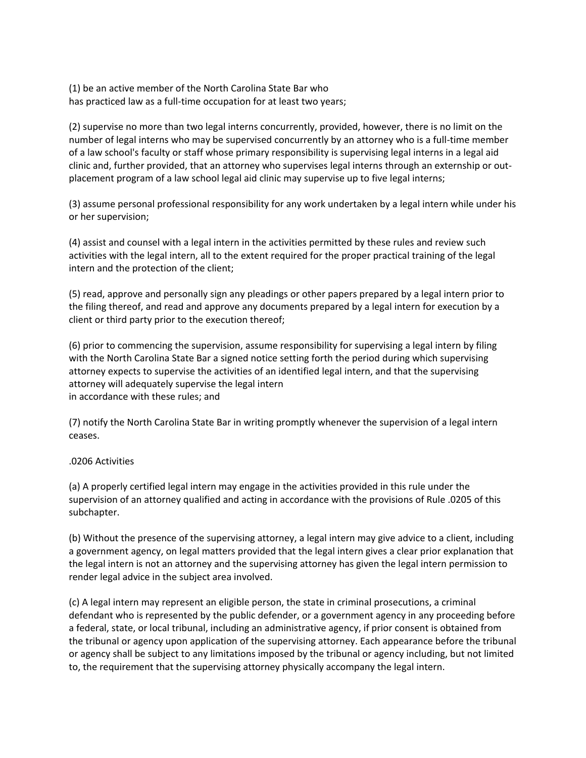(1) be an active member of the North Carolina State Bar who has practiced law as a full-time occupation for at least two years;

(2) supervise no more than two legal interns concurrently, provided, however, there is no limit on the number of legal interns who may be supervised concurrently by an attorney who is a full-time member of a law school's faculty or staff whose primary responsibility is supervising legal interns in a legal aid clinic and, further provided, that an attorney who supervises legal interns through an externship or outplacement program of a law school legal aid clinic may supervise up to five legal interns;

(3) assume personal professional responsibility for any work undertaken by a legal intern while under his or her supervision;

(4) assist and counsel with a legal intern in the activities permitted by these rules and review such activities with the legal intern, all to the extent required for the proper practical training of the legal intern and the protection of the client;

(5) read, approve and personally sign any pleadings or other papers prepared by a legal intern prior to the filing thereof, and read and approve any documents prepared by a legal intern for execution by a client or third party prior to the execution thereof;

(6) prior to commencing the supervision, assume responsibility for supervising a legal intern by filing with the North Carolina State Bar a signed notice setting forth the period during which supervising attorney expects to supervise the activities of an identified legal intern, and that the supervising attorney will adequately supervise the legal intern in accordance with these rules; and

(7) notify the North Carolina State Bar in writing promptly whenever the supervision of a legal intern ceases.

# .0206 Activities

(a) A properly certified legal intern may engage in the activities provided in this rule under the supervision of an attorney qualified and acting in accordance with the provisions of Rule .0205 of this subchapter.

(b) Without the presence of the supervising attorney, a legal intern may give advice to a client, including a government agency, on legal matters provided that the legal intern gives a clear prior explanation that the legal intern is not an attorney and the supervising attorney has given the legal intern permission to render legal advice in the subject area involved.

(c) A legal intern may represent an eligible person, the state in criminal prosecutions, a criminal defendant who is represented by the public defender, or a government agency in any proceeding before a federal, state, or local tribunal, including an administrative agency, if prior consent is obtained from the tribunal or agency upon application of the supervising attorney. Each appearance before the tribunal or agency shall be subject to any limitations imposed by the tribunal or agency including, but not limited to, the requirement that the supervising attorney physically accompany the legal intern.